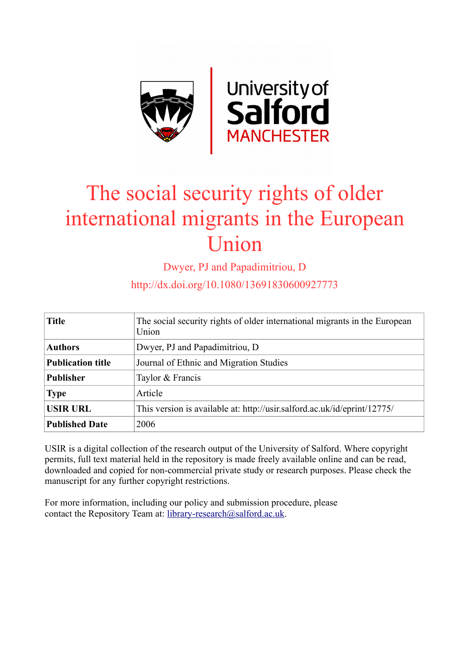

# The social security rights of older international migrants in the European Union

Dwyer, PJ and Papadimitriou, D

http://dx.doi.org/10.1080/13691830600927773

| <b>Title</b>             | The social security rights of older international migrants in the European<br>Union |
|--------------------------|-------------------------------------------------------------------------------------|
| <b>Authors</b>           | Dwyer, PJ and Papadimitriou, D                                                      |
| <b>Publication title</b> | Journal of Ethnic and Migration Studies                                             |
| <b>Publisher</b>         | Taylor & Francis                                                                    |
| <b>Type</b>              | Article                                                                             |
| <b>USIR URL</b>          | This version is available at: http://usir.salford.ac.uk/id/eprint/12775/            |
| <b>Published Date</b>    | 2006                                                                                |

USIR is a digital collection of the research output of the University of Salford. Where copyright permits, full text material held in the repository is made freely available online and can be read, downloaded and copied for non-commercial private study or research purposes. Please check the manuscript for any further copyright restrictions.

For more information, including our policy and submission procedure, please contact the Repository Team at: [library-research@salford.ac.uk.](mailto:library-research@salford.ac.uk)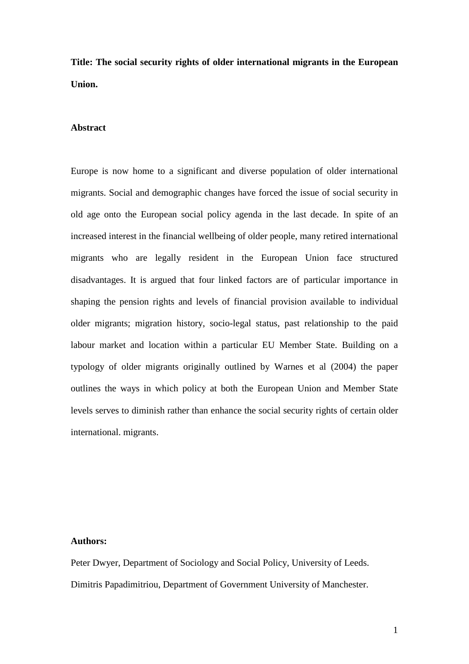**Title: The social security rights of older international migrants in the European Union.**

## **Abstract**

Europe is now home to a significant and diverse population of older international migrants. Social and demographic changes have forced the issue of social security in old age onto the European social policy agenda in the last decade. In spite of an increased interest in the financial wellbeing of older people, many retired international migrants who are legally resident in the European Union face structured disadvantages. It is argued that four linked factors are of particular importance in shaping the pension rights and levels of financial provision available to individual older migrants; migration history, socio-legal status, past relationship to the paid labour market and location within a particular EU Member State. Building on a typology of older migrants originally outlined by Warnes et al (2004) the paper outlines the ways in which policy at both the European Union and Member State levels serves to diminish rather than enhance the social security rights of certain older international. migrants.

# **Authors:**

Peter Dwyer, Department of Sociology and Social Policy, University of Leeds. Dimitris Papadimitriou, Department of Government University of Manchester.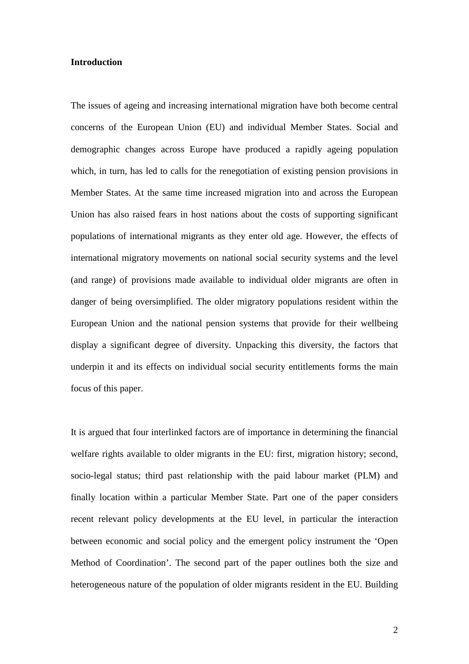#### **Introduction**

The issues of ageing and increasing international migration have both become central concerns of the European Union (EU) and individual Member States. Social and demographic changes across Europe have produced a rapidly ageing population which, in turn, has led to calls for the renegotiation of existing pension provisions in Member States. At the same time increased migration into and across the European Union has also raised fears in host nations about the costs of supporting significant populations of international migrants as they enter old age. However, the effects of international migratory movements on national social security systems and the level (and range) of provisions made available to individual older migrants are often in danger of being oversimplified. The older migratory populations resident within the European Union and the national pension systems that provide for their wellbeing display a significant degree of diversity. Unpacking this diversity, the factors that underpin it and its effects on individual social security entitlements forms the main focus of this paper.

It is argued that four interlinked factors are of importance in determining the financial welfare rights available to older migrants in the EU: first, migration history; second, socio-legal status; third past relationship with the paid labour market (PLM) and finally location within a particular Member State. Part one of the paper considers recent relevant policy developments at the EU level, in particular the interaction between economic and social policy and the emergent policy instrument the 'Open Method of Coordination'. The second part of the paper outlines both the size and heterogeneous nature of the population of older migrants resident in the EU. Building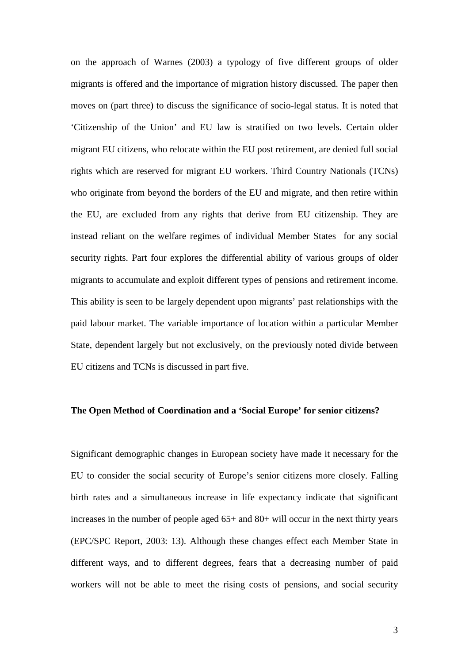on the approach of Warnes (2003) a typology of five different groups of older migrants is offered and the importance of migration history discussed. The paper then moves on (part three) to discuss the significance of socio-legal status. It is noted that 'Citizenship of the Union' and EU law is stratified on two levels. Certain older migrant EU citizens, who relocate within the EU post retirement, are denied full social rights which are reserved for migrant EU workers. Third Country Nationals (TCNs) who originate from beyond the borders of the EU and migrate, and then retire within the EU, are excluded from any rights that derive from EU citizenship. They are instead reliant on the welfare regimes of individual Member States for any social security rights. Part four explores the differential ability of various groups of older migrants to accumulate and exploit different types of pensions and retirement income. This ability is seen to be largely dependent upon migrants' past relationships with the paid labour market. The variable importance of location within a particular Member State, dependent largely but not exclusively, on the previously noted divide between EU citizens and TCNs is discussed in part five.

# **The Open Method of Coordination and a 'Social Europe' for senior citizens?**

Significant demographic changes in European society have made it necessary for the EU to consider the social security of Europe's senior citizens more closely. Falling birth rates and a simultaneous increase in life expectancy indicate that significant increases in the number of people aged 65+ and 80+ will occur in the next thirty years (EPC/SPC Report, 2003: 13). Although these changes effect each Member State in different ways, and to different degrees, fears that a decreasing number of paid workers will not be able to meet the rising costs of pensions, and social security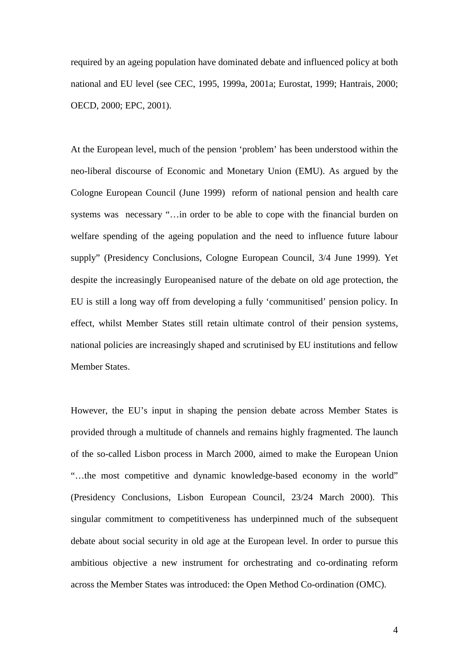required by an ageing population have dominated debate and influenced policy at both national and EU level (see CEC, 1995, 1999a, 2001a; Eurostat, 1999; Hantrais, 2000; OECD, 2000; EPC, 2001).

At the European level, much of the pension 'problem' has been understood within the neo-liberal discourse of Economic and Monetary Union (EMU). As argued by the Cologne European Council (June 1999) reform of national pension and health care systems was necessary "…in order to be able to cope with the financial burden on welfare spending of the ageing population and the need to influence future labour supply" (Presidency Conclusions, Cologne European Council, 3/4 June 1999). Yet despite the increasingly Europeanised nature of the debate on old age protection, the EU is still a long way off from developing a fully 'communitised' pension policy. In effect, whilst Member States still retain ultimate control of their pension systems, national policies are increasingly shaped and scrutinised by EU institutions and fellow Member States.

However, the EU's input in shaping the pension debate across Member States is provided through a multitude of channels and remains highly fragmented. The launch of the so-called Lisbon process in March 2000, aimed to make the European Union "…the most competitive and dynamic knowledge-based economy in the world" (Presidency Conclusions, Lisbon European Council, 23/24 March 2000). This singular commitment to competitiveness has underpinned much of the subsequent debate about social security in old age at the European level. In order to pursue this ambitious objective a new instrument for orchestrating and co-ordinating reform across the Member States was introduced: the Open Method Co-ordination (OMC).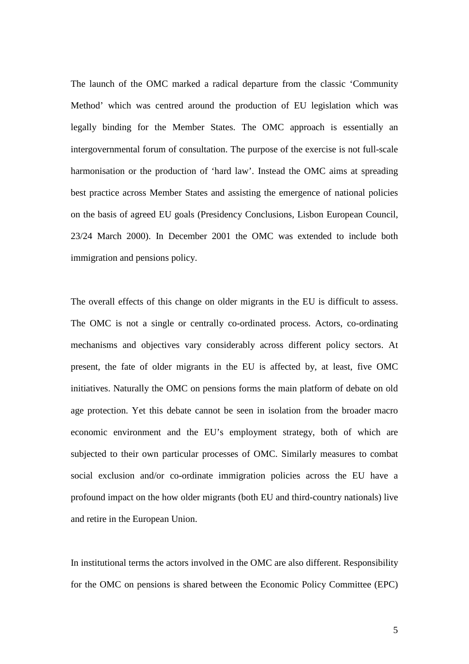The launch of the OMC marked a radical departure from the classic 'Community Method' which was centred around the production of EU legislation which was legally binding for the Member States. The OMC approach is essentially an intergovernmental forum of consultation. The purpose of the exercise is not full-scale harmonisation or the production of 'hard law'. Instead the OMC aims at spreading best practice across Member States and assisting the emergence of national policies on the basis of agreed EU goals (Presidency Conclusions, Lisbon European Council, 23/24 March 2000). In December 2001 the OMC was extended to include both immigration and pensions policy.

The overall effects of this change on older migrants in the EU is difficult to assess. The OMC is not a single or centrally co-ordinated process. Actors, co-ordinating mechanisms and objectives vary considerably across different policy sectors. At present, the fate of older migrants in the EU is affected by, at least, five OMC initiatives. Naturally the OMC on pensions forms the main platform of debate on old age protection. Yet this debate cannot be seen in isolation from the broader macro economic environment and the EU's employment strategy, both of which are subjected to their own particular processes of OMC. Similarly measures to combat social exclusion and/or co-ordinate immigration policies across the EU have a profound impact on the how older migrants (both EU and third-country nationals) live and retire in the European Union.

In institutional terms the actors involved in the OMC are also different. Responsibility for the OMC on pensions is shared between the Economic Policy Committee (EPC)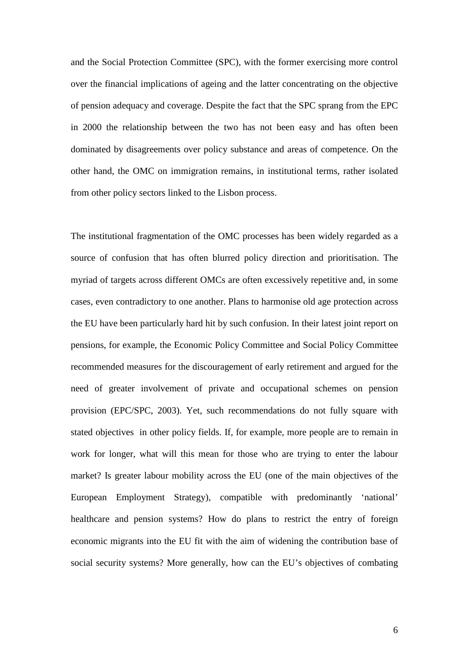and the Social Protection Committee (SPC), with the former exercising more control over the financial implications of ageing and the latter concentrating on the objective of pension adequacy and coverage. Despite the fact that the SPC sprang from the EPC in 2000 the relationship between the two has not been easy and has often been dominated by disagreements over policy substance and areas of competence. On the other hand, the OMC on immigration remains, in institutional terms, rather isolated from other policy sectors linked to the Lisbon process.

The institutional fragmentation of the OMC processes has been widely regarded as a source of confusion that has often blurred policy direction and prioritisation. The myriad of targets across different OMCs are often excessively repetitive and, in some cases, even contradictory to one another. Plans to harmonise old age protection across the EU have been particularly hard hit by such confusion. In their latest joint report on pensions, for example, the Economic Policy Committee and Social Policy Committee recommended measures for the discouragement of early retirement and argued for the need of greater involvement of private and occupational schemes on pension provision (EPC/SPC, 2003). Yet, such recommendations do not fully square with stated objectives in other policy fields. If, for example, more people are to remain in work for longer, what will this mean for those who are trying to enter the labour market? Is greater labour mobility across the EU (one of the main objectives of the European Employment Strategy), compatible with predominantly 'national' healthcare and pension systems? How do plans to restrict the entry of foreign economic migrants into the EU fit with the aim of widening the contribution base of social security systems? More generally, how can the EU's objectives of combating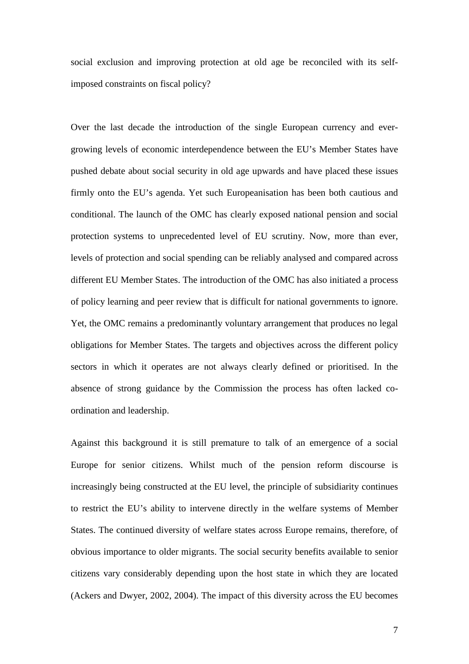social exclusion and improving protection at old age be reconciled with its selfimposed constraints on fiscal policy?

Over the last decade the introduction of the single European currency and evergrowing levels of economic interdependence between the EU's Member States have pushed debate about social security in old age upwards and have placed these issues firmly onto the EU's agenda. Yet such Europeanisation has been both cautious and conditional. The launch of the OMC has clearly exposed national pension and social protection systems to unprecedented level of EU scrutiny. Now, more than ever, levels of protection and social spending can be reliably analysed and compared across different EU Member States. The introduction of the OMC has also initiated a process of policy learning and peer review that is difficult for national governments to ignore. Yet, the OMC remains a predominantly voluntary arrangement that produces no legal obligations for Member States. The targets and objectives across the different policy sectors in which it operates are not always clearly defined or prioritised. In the absence of strong guidance by the Commission the process has often lacked coordination and leadership.

Against this background it is still premature to talk of an emergence of a social Europe for senior citizens. Whilst much of the pension reform discourse is increasingly being constructed at the EU level, the principle of subsidiarity continues to restrict the EU's ability to intervene directly in the welfare systems of Member States. The continued diversity of welfare states across Europe remains, therefore, of obvious importance to older migrants. The social security benefits available to senior citizens vary considerably depending upon the host state in which they are located (Ackers and Dwyer, 2002, 2004). The impact of this diversity across the EU becomes

7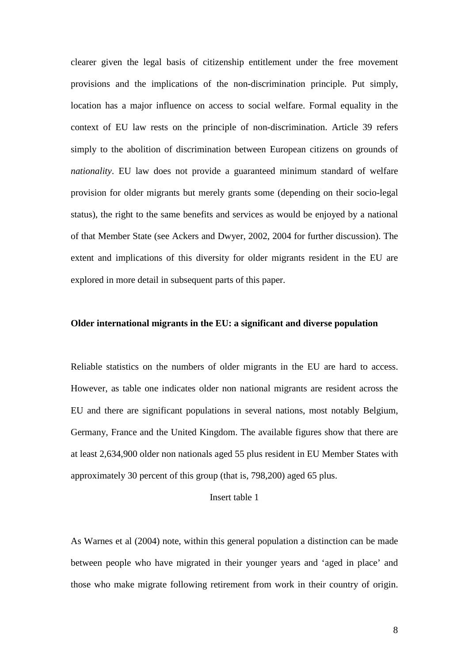clearer given the legal basis of citizenship entitlement under the free movement provisions and the implications of the non-discrimination principle. Put simply, location has a major influence on access to social welfare. Formal equality in the context of EU law rests on the principle of non-discrimination. Article 39 refers simply to the abolition of discrimination between European citizens on grounds of *nationality*. EU law does not provide a guaranteed minimum standard of welfare provision for older migrants but merely grants some (depending on their socio-legal status), the right to the same benefits and services as would be enjoyed by a national of that Member State (see Ackers and Dwyer, 2002, 2004 for further discussion). The extent and implications of this diversity for older migrants resident in the EU are explored in more detail in subsequent parts of this paper.

#### **Older international migrants in the EU: a significant and diverse population**

Reliable statistics on the numbers of older migrants in the EU are hard to access. However, as table one indicates older non national migrants are resident across the EU and there are significant populations in several nations, most notably Belgium, Germany, France and the United Kingdom. The available figures show that there are at least 2,634,900 older non nationals aged 55 plus resident in EU Member States with approximately 30 percent of this group (that is, 798,200) aged 65 plus.

# Insert table 1

As Warnes et al (2004) note, within this general population a distinction can be made between people who have migrated in their younger years and 'aged in place' and those who make migrate following retirement from work in their country of origin.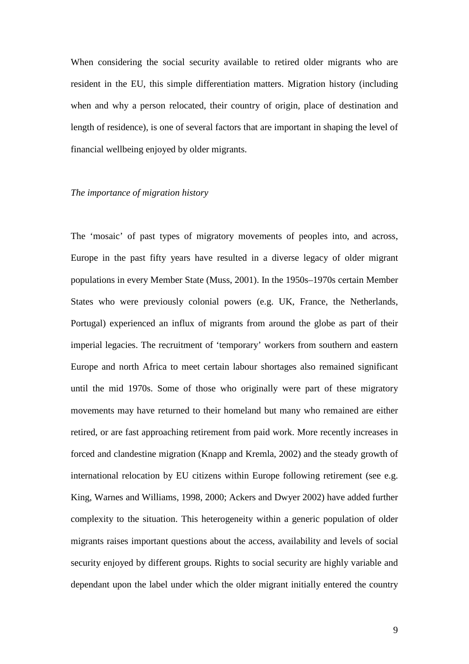When considering the social security available to retired older migrants who are resident in the EU, this simple differentiation matters. Migration history (including when and why a person relocated, their country of origin, place of destination and length of residence), is one of several factors that are important in shaping the level of financial wellbeing enjoyed by older migrants.

#### *The importance of migration history*

The 'mosaic' of past types of migratory movements of peoples into, and across, Europe in the past fifty years have resulted in a diverse legacy of older migrant populations in every Member State (Muss, 2001). In the 1950s–1970s certain Member States who were previously colonial powers (e.g. UK, France, the Netherlands, Portugal) experienced an influx of migrants from around the globe as part of their imperial legacies. The recruitment of 'temporary' workers from southern and eastern Europe and north Africa to meet certain labour shortages also remained significant until the mid 1970s. Some of those who originally were part of these migratory movements may have returned to their homeland but many who remained are either retired, or are fast approaching retirement from paid work. More recently increases in forced and clandestine migration (Knapp and Kremla, 2002) and the steady growth of international relocation by EU citizens within Europe following retirement (see e.g. King, Warnes and Williams, 1998, 2000; Ackers and Dwyer 2002) have added further complexity to the situation. This heterogeneity within a generic population of older migrants raises important questions about the access, availability and levels of social security enjoyed by different groups. Rights to social security are highly variable and dependant upon the label under which the older migrant initially entered the country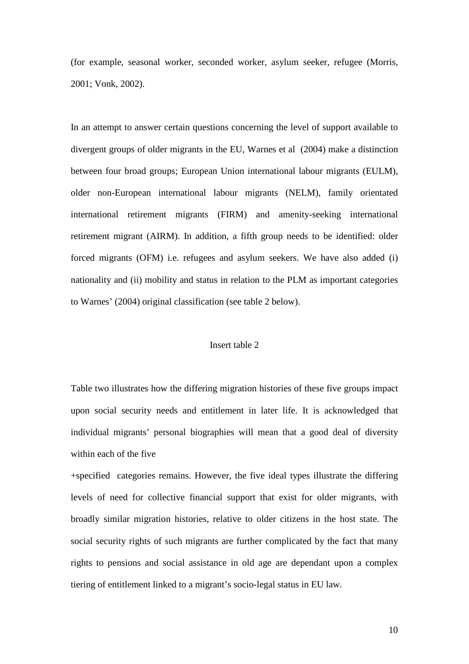(for example, seasonal worker, seconded worker, asylum seeker, refugee (Morris, 2001; Vonk, 2002).

In an attempt to answer certain questions concerning the level of support available to divergent groups of older migrants in the EU, Warnes et al (2004) make a distinction between four broad groups; European Union international labour migrants (EULM), older non-European international labour migrants (NELM), family orientated international retirement migrants (FIRM) and amenity-seeking international retirement migrant (AIRM). In addition, a fifth group needs to be identified: older forced migrants (OFM) i.e. refugees and asylum seekers. We have also added (i) nationality and (ii) mobility and status in relation to the PLM as important categories to Warnes' (2004) original classification (see table 2 below).

#### Insert table 2

Table two illustrates how the differing migration histories of these five groups impact upon social security needs and entitlement in later life. It is acknowledged that individual migrants' personal biographies will mean that a good deal of diversity within each of the five

+specified categories remains. However, the five ideal types illustrate the differing levels of need for collective financial support that exist for older migrants, with broadly similar migration histories, relative to older citizens in the host state. The social security rights of such migrants are further complicated by the fact that many rights to pensions and social assistance in old age are dependant upon a complex tiering of entitlement linked to a migrant's socio-legal status in EU law.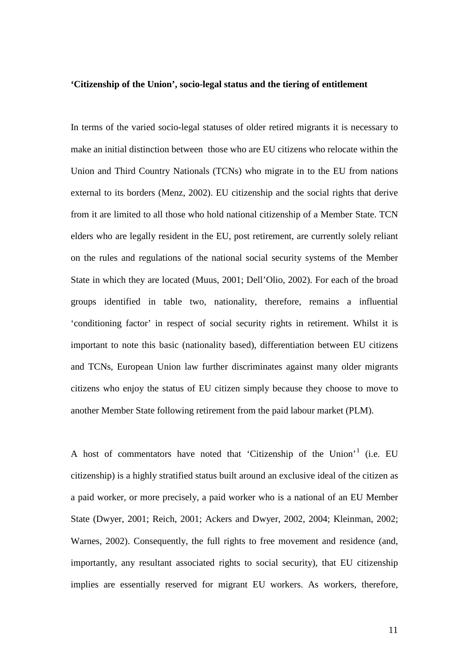#### **'Citizenship of the Union', socio-legal status and the tiering of entitlement**

In terms of the varied socio-legal statuses of older retired migrants it is necessary to make an initial distinction between those who are EU citizens who relocate within the Union and Third Country Nationals (TCNs) who migrate in to the EU from nations external to its borders (Menz, 2002). EU citizenship and the social rights that derive from it are limited to all those who hold national citizenship of a Member State. TCN elders who are legally resident in the EU, post retirement, are currently solely reliant on the rules and regulations of the national social security systems of the Member State in which they are located (Muus, 2001; Dell'Olio, 2002). For each of the broad groups identified in table two, nationality, therefore, remains a influential 'conditioning factor' in respect of social security rights in retirement. Whilst it is important to note this basic (nationality based), differentiation between EU citizens and TCNs, European Union law further discriminates against many older migrants citizens who enjoy the status of EU citizen simply because they choose to move to another Member State following retirement from the paid labour market (PLM).

A host of commentators have noted that 'Citizenship of the Union'[1](#page-34-0) (i.e. EU citizenship) is a highly stratified status built around an exclusive ideal of the citizen as a paid worker, or more precisely, a paid worker who is a national of an EU Member State (Dwyer, 2001; Reich, 2001; Ackers and Dwyer, 2002, 2004; Kleinman, 2002; Warnes, 2002). Consequently, the full rights to free movement and residence (and, importantly, any resultant associated rights to social security), that EU citizenship implies are essentially reserved for migrant EU workers. As workers, therefore,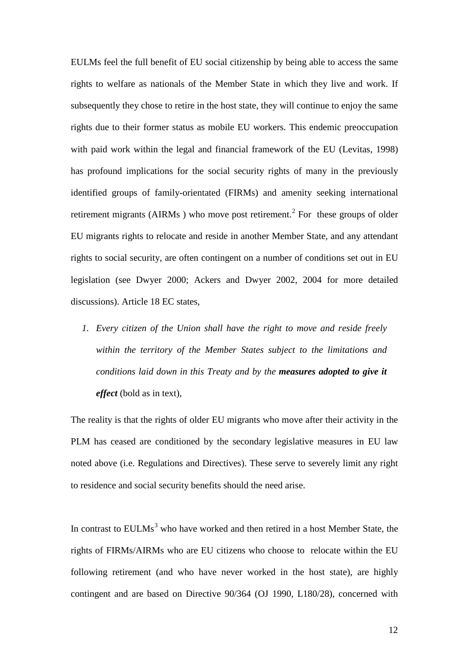EULMs feel the full benefit of EU social citizenship by being able to access the same rights to welfare as nationals of the Member State in which they live and work. If subsequently they chose to retire in the host state, they will continue to enjoy the same rights due to their former status as mobile EU workers. This endemic preoccupation with paid work within the legal and financial framework of the EU (Levitas, 1998) has profound implications for the social security rights of many in the previously identified groups of family-orientated (FIRMs) and amenity seeking international retirement migrants (AIRMs) who move post retirement.<sup>[2](#page-34-1)</sup> For these groups of older EU migrants rights to relocate and reside in another Member State, and any attendant rights to social security, are often contingent on a number of conditions set out in EU legislation (see Dwyer 2000; Ackers and Dwyer 2002, 2004 for more detailed discussions). Article 18 EC states,

*1. Every citizen of the Union shall have the right to move and reside freely within the territory of the Member States subject to the limitations and conditions laid down in this Treaty and by the measures adopted to give it effect* (bold as in text),

The reality is that the rights of older EU migrants who move after their activity in the PLM has ceased are conditioned by the secondary legislative measures in EU law noted above (i.e. Regulations and Directives). These serve to severely limit any right to residence and social security benefits should the need arise.

In contrast to  $EULMs<sup>3</sup>$  $EULMs<sup>3</sup>$  $EULMs<sup>3</sup>$  who have worked and then retired in a host Member State, the rights of FIRMs/AIRMs who are EU citizens who choose to relocate within the EU following retirement (and who have never worked in the host state), are highly contingent and are based on Directive 90/364 (OJ 1990, L180/28), concerned with

12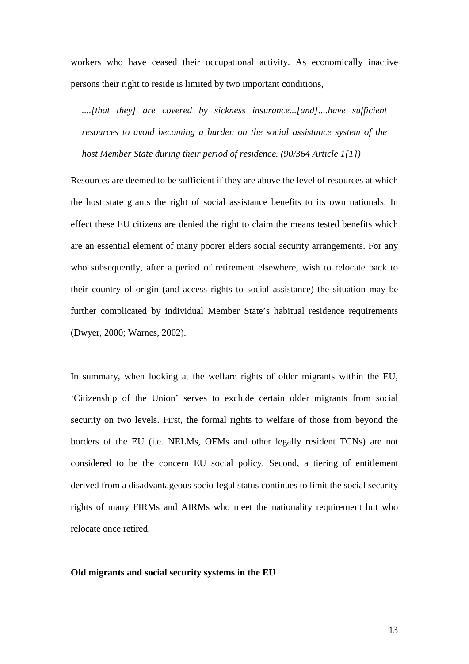workers who have ceased their occupational activity. As economically inactive persons their right to reside is limited by two important conditions,

....[that they] are covered by sickness insurance...[and]....have sufficient *resources to avoid becoming a burden on the social assistance system of the host Member State during their period of residence. (90/364 Article 1{1})*

Resources are deemed to be sufficient if they are above the level of resources at which the host state grants the right of social assistance benefits to its own nationals. In effect these EU citizens are denied the right to claim the means tested benefits which are an essential element of many poorer elders social security arrangements. For any who subsequently, after a period of retirement elsewhere, wish to relocate back to their country of origin (and access rights to social assistance) the situation may be further complicated by individual Member State's habitual residence requirements (Dwyer, 2000; Warnes, 2002).

In summary, when looking at the welfare rights of older migrants within the EU, 'Citizenship of the Union' serves to exclude certain older migrants from social security on two levels. First, the formal rights to welfare of those from beyond the borders of the EU (i.e. NELMs, OFMs and other legally resident TCNs) are not considered to be the concern EU social policy. Second, a tiering of entitlement derived from a disadvantageous socio-legal status continues to limit the social security rights of many FIRMs and AIRMs who meet the nationality requirement but who relocate once retired.

#### **Old migrants and social security systems in the EU**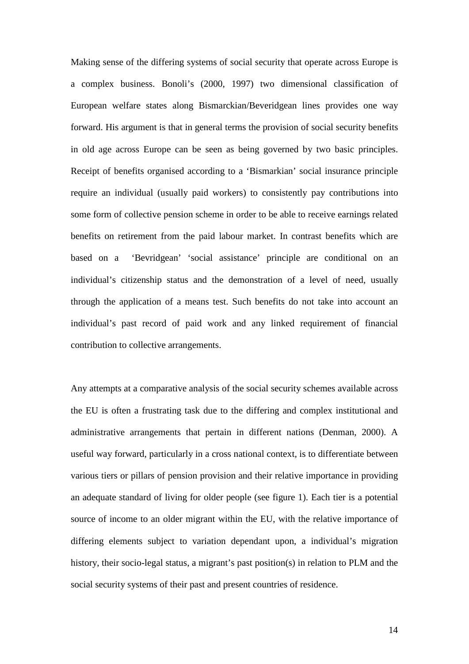Making sense of the differing systems of social security that operate across Europe is a complex business. Bonoli's (2000, 1997) two dimensional classification of European welfare states along Bismarckian/Beveridgean lines provides one way forward. His argument is that in general terms the provision of social security benefits in old age across Europe can be seen as being governed by two basic principles. Receipt of benefits organised according to a 'Bismarkian' social insurance principle require an individual (usually paid workers) to consistently pay contributions into some form of collective pension scheme in order to be able to receive earnings related benefits on retirement from the paid labour market. In contrast benefits which are based on a 'Bevridgean' 'social assistance' principle are conditional on an individual's citizenship status and the demonstration of a level of need, usually through the application of a means test. Such benefits do not take into account an individual's past record of paid work and any linked requirement of financial contribution to collective arrangements.

Any attempts at a comparative analysis of the social security schemes available across the EU is often a frustrating task due to the differing and complex institutional and administrative arrangements that pertain in different nations (Denman, 2000). A useful way forward, particularly in a cross national context, is to differentiate between various tiers or pillars of pension provision and their relative importance in providing an adequate standard of living for older people (see figure 1). Each tier is a potential source of income to an older migrant within the EU, with the relative importance of differing elements subject to variation dependant upon, a individual's migration history, their socio-legal status, a migrant's past position(s) in relation to PLM and the social security systems of their past and present countries of residence.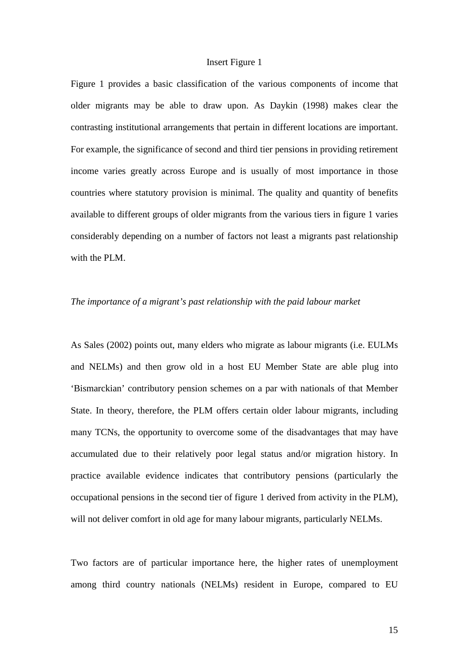#### Insert Figure 1

Figure 1 provides a basic classification of the various components of income that older migrants may be able to draw upon. As Daykin (1998) makes clear the contrasting institutional arrangements that pertain in different locations are important. For example, the significance of second and third tier pensions in providing retirement income varies greatly across Europe and is usually of most importance in those countries where statutory provision is minimal. The quality and quantity of benefits available to different groups of older migrants from the various tiers in figure 1 varies considerably depending on a number of factors not least a migrants past relationship with the PLM.

#### *The importance of a migrant's past relationship with the paid labour market*

As Sales (2002) points out, many elders who migrate as labour migrants (i.e. EULMs and NELMs) and then grow old in a host EU Member State are able plug into 'Bismarckian' contributory pension schemes on a par with nationals of that Member State. In theory, therefore, the PLM offers certain older labour migrants, including many TCNs, the opportunity to overcome some of the disadvantages that may have accumulated due to their relatively poor legal status and/or migration history. In practice available evidence indicates that contributory pensions (particularly the occupational pensions in the second tier of figure 1 derived from activity in the PLM), will not deliver comfort in old age for many labour migrants, particularly NELMs.

Two factors are of particular importance here, the higher rates of unemployment among third country nationals (NELMs) resident in Europe, compared to EU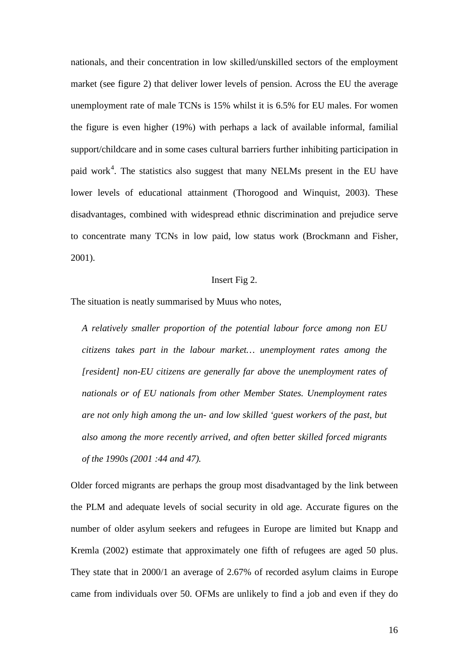nationals, and their concentration in low skilled/unskilled sectors of the employment market (see figure 2) that deliver lower levels of pension. Across the EU the average unemployment rate of male TCNs is 15% whilst it is 6.5% for EU males. For women the figure is even higher (19%) with perhaps a lack of available informal, familial support/childcare and in some cases cultural barriers further inhibiting participation in paid work<sup>[4](#page-35-0)</sup>. The statistics also suggest that many NELMs present in the EU have lower levels of educational attainment (Thorogood and Winquist, 2003). These disadvantages, combined with widespread ethnic discrimination and prejudice serve to concentrate many TCNs in low paid, low status work (Brockmann and Fisher, 2001).

# Insert Fig 2.

The situation is neatly summarised by Muus who notes,

*A relatively smaller proportion of the potential labour force among non EU citizens takes part in the labour market… unemployment rates among the [resident] non-EU citizens are generally far above the unemployment rates of nationals or of EU nationals from other Member States. Unemployment rates are not only high among the un- and low skilled 'guest workers of the past, but also among the more recently arrived, and often better skilled forced migrants of the 1990s (2001 :44 and 47).*

Older forced migrants are perhaps the group most disadvantaged by the link between the PLM and adequate levels of social security in old age. Accurate figures on the number of older asylum seekers and refugees in Europe are limited but Knapp and Kremla (2002) estimate that approximately one fifth of refugees are aged 50 plus. They state that in 2000/1 an average of 2.67% of recorded asylum claims in Europe came from individuals over 50. OFMs are unlikely to find a job and even if they do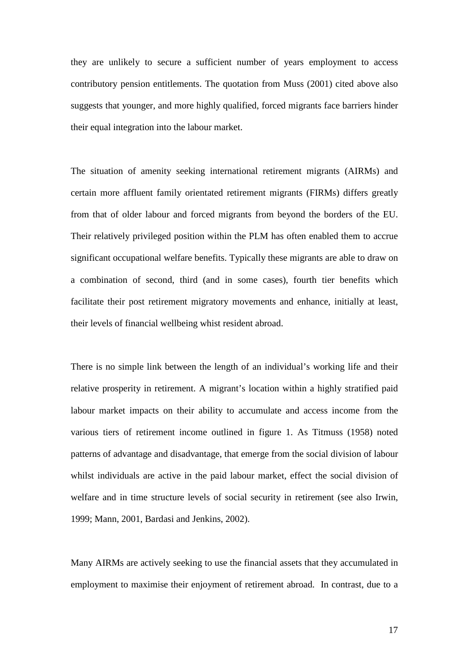they are unlikely to secure a sufficient number of years employment to access contributory pension entitlements. The quotation from Muss (2001) cited above also suggests that younger, and more highly qualified, forced migrants face barriers hinder their equal integration into the labour market.

The situation of amenity seeking international retirement migrants (AIRMs) and certain more affluent family orientated retirement migrants (FIRMs) differs greatly from that of older labour and forced migrants from beyond the borders of the EU. Their relatively privileged position within the PLM has often enabled them to accrue significant occupational welfare benefits. Typically these migrants are able to draw on a combination of second, third (and in some cases), fourth tier benefits which facilitate their post retirement migratory movements and enhance, initially at least, their levels of financial wellbeing whist resident abroad.

There is no simple link between the length of an individual's working life and their relative prosperity in retirement. A migrant's location within a highly stratified paid labour market impacts on their ability to accumulate and access income from the various tiers of retirement income outlined in figure 1. As Titmuss (1958) noted patterns of advantage and disadvantage, that emerge from the social division of labour whilst individuals are active in the paid labour market, effect the social division of welfare and in time structure levels of social security in retirement (see also Irwin, 1999; Mann, 2001, Bardasi and Jenkins, 2002).

Many AIRMs are actively seeking to use the financial assets that they accumulated in employment to maximise their enjoyment of retirement abroad. In contrast, due to a

17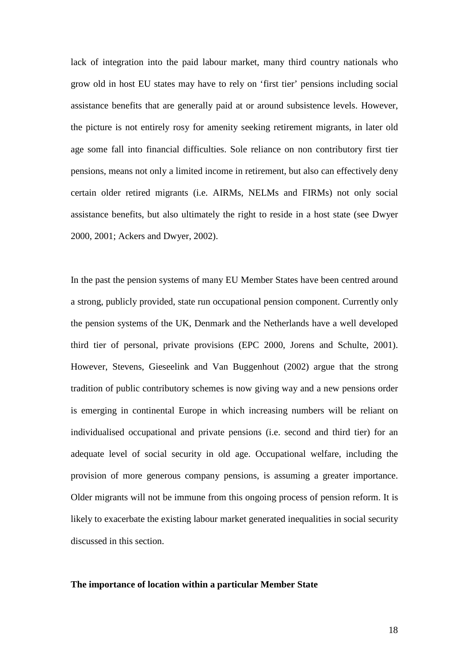lack of integration into the paid labour market, many third country nationals who grow old in host EU states may have to rely on 'first tier' pensions including social assistance benefits that are generally paid at or around subsistence levels. However, the picture is not entirely rosy for amenity seeking retirement migrants, in later old age some fall into financial difficulties. Sole reliance on non contributory first tier pensions, means not only a limited income in retirement, but also can effectively deny certain older retired migrants (i.e. AIRMs, NELMs and FIRMs) not only social assistance benefits, but also ultimately the right to reside in a host state (see Dwyer 2000, 2001; Ackers and Dwyer, 2002).

In the past the pension systems of many EU Member States have been centred around a strong, publicly provided, state run occupational pension component. Currently only the pension systems of the UK, Denmark and the Netherlands have a well developed third tier of personal, private provisions (EPC 2000, Jorens and Schulte, 2001). However, Stevens, Gieseelink and Van Buggenhout (2002) argue that the strong tradition of public contributory schemes is now giving way and a new pensions order is emerging in continental Europe in which increasing numbers will be reliant on individualised occupational and private pensions (i.e. second and third tier) for an adequate level of social security in old age. Occupational welfare, including the provision of more generous company pensions, is assuming a greater importance. Older migrants will not be immune from this ongoing process of pension reform. It is likely to exacerbate the existing labour market generated inequalities in social security discussed in this section.

#### **The importance of location within a particular Member State**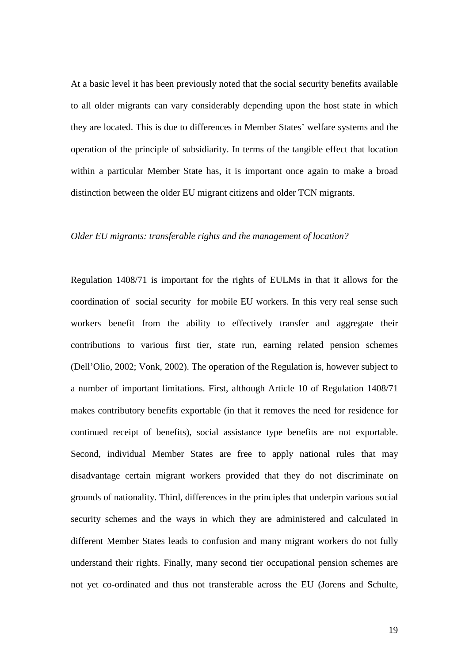At a basic level it has been previously noted that the social security benefits available to all older migrants can vary considerably depending upon the host state in which they are located. This is due to differences in Member States' welfare systems and the operation of the principle of subsidiarity. In terms of the tangible effect that location within a particular Member State has, it is important once again to make a broad distinction between the older EU migrant citizens and older TCN migrants.

#### *Older EU migrants: transferable rights and the management of location?*

Regulation 1408/71 is important for the rights of EULMs in that it allows for the coordination of social security for mobile EU workers. In this very real sense such workers benefit from the ability to effectively transfer and aggregate their contributions to various first tier, state run, earning related pension schemes (Dell'Olio, 2002; Vonk, 2002). The operation of the Regulation is, however subject to a number of important limitations. First, although Article 10 of Regulation 1408/71 makes contributory benefits exportable (in that it removes the need for residence for continued receipt of benefits), social assistance type benefits are not exportable. Second, individual Member States are free to apply national rules that may disadvantage certain migrant workers provided that they do not discriminate on grounds of nationality. Third, differences in the principles that underpin various social security schemes and the ways in which they are administered and calculated in different Member States leads to confusion and many migrant workers do not fully understand their rights. Finally, many second tier occupational pension schemes are not yet co-ordinated and thus not transferable across the EU (Jorens and Schulte,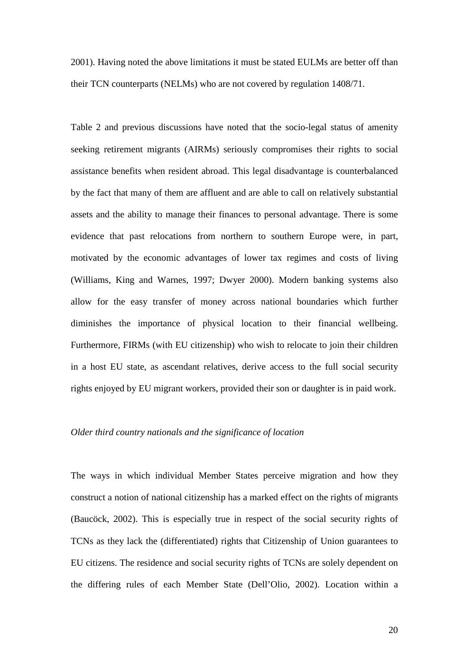2001). Having noted the above limitations it must be stated EULMs are better off than their TCN counterparts (NELMs) who are not covered by regulation 1408/71.

Table 2 and previous discussions have noted that the socio-legal status of amenity seeking retirement migrants (AIRMs) seriously compromises their rights to social assistance benefits when resident abroad. This legal disadvantage is counterbalanced by the fact that many of them are affluent and are able to call on relatively substantial assets and the ability to manage their finances to personal advantage. There is some evidence that past relocations from northern to southern Europe were, in part, motivated by the economic advantages of lower tax regimes and costs of living (Williams, King and Warnes, 1997; Dwyer 2000). Modern banking systems also allow for the easy transfer of money across national boundaries which further diminishes the importance of physical location to their financial wellbeing. Furthermore, FIRMs (with EU citizenship) who wish to relocate to join their children in a host EU state, as ascendant relatives, derive access to the full social security rights enjoyed by EU migrant workers, provided their son or daughter is in paid work.

### *Older third country nationals and the significance of location*

The ways in which individual Member States perceive migration and how they construct a notion of national citizenship has a marked effect on the rights of migrants (Baucöck, 2002). This is especially true in respect of the social security rights of TCNs as they lack the (differentiated) rights that Citizenship of Union guarantees to EU citizens. The residence and social security rights of TCNs are solely dependent on the differing rules of each Member State (Dell'Olio, 2002). Location within a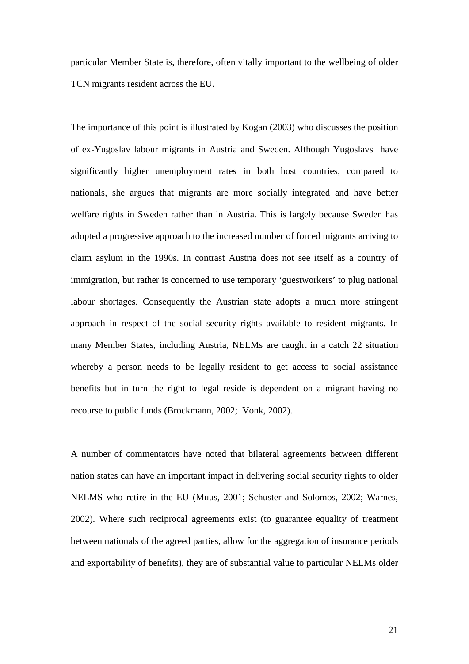particular Member State is, therefore, often vitally important to the wellbeing of older TCN migrants resident across the EU.

The importance of this point is illustrated by Kogan (2003) who discusses the position of ex-Yugoslav labour migrants in Austria and Sweden. Although Yugoslavs have significantly higher unemployment rates in both host countries, compared to nationals, she argues that migrants are more socially integrated and have better welfare rights in Sweden rather than in Austria. This is largely because Sweden has adopted a progressive approach to the increased number of forced migrants arriving to claim asylum in the 1990s. In contrast Austria does not see itself as a country of immigration, but rather is concerned to use temporary 'guestworkers' to plug national labour shortages. Consequently the Austrian state adopts a much more stringent approach in respect of the social security rights available to resident migrants. In many Member States, including Austria, NELMs are caught in a catch 22 situation whereby a person needs to be legally resident to get access to social assistance benefits but in turn the right to legal reside is dependent on a migrant having no recourse to public funds (Brockmann, 2002; Vonk, 2002).

A number of commentators have noted that bilateral agreements between different nation states can have an important impact in delivering social security rights to older NELMS who retire in the EU (Muus, 2001; Schuster and Solomos, 2002; Warnes, 2002). Where such reciprocal agreements exist (to guarantee equality of treatment between nationals of the agreed parties, allow for the aggregation of insurance periods and exportability of benefits), they are of substantial value to particular NELMs older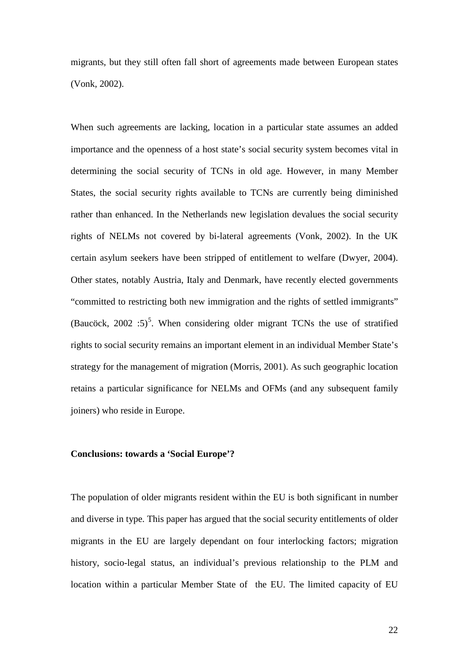migrants, but they still often fall short of agreements made between European states (Vonk, 2002).

When such agreements are lacking, location in a particular state assumes an added importance and the openness of a host state's social security system becomes vital in determining the social security of TCNs in old age. However, in many Member States, the social security rights available to TCNs are currently being diminished rather than enhanced. In the Netherlands new legislation devalues the social security rights of NELMs not covered by bi-lateral agreements (Vonk, 2002). In the UK certain asylum seekers have been stripped of entitlement to welfare (Dwyer, 2004). Other states, notably Austria, Italy and Denmark, have recently elected governments "committed to restricting both new immigration and the rights of settled immigrants" (Baucöck, 2002 :[5](#page-35-1))<sup>5</sup>. When considering older migrant TCNs the use of stratified rights to social security remains an important element in an individual Member State's strategy for the management of migration (Morris, 2001). As such geographic location retains a particular significance for NELMs and OFMs (and any subsequent family joiners) who reside in Europe.

## **Conclusions: towards a 'Social Europe'?**

The population of older migrants resident within the EU is both significant in number and diverse in type. This paper has argued that the social security entitlements of older migrants in the EU are largely dependant on four interlocking factors; migration history, socio-legal status, an individual's previous relationship to the PLM and location within a particular Member State of the EU. The limited capacity of EU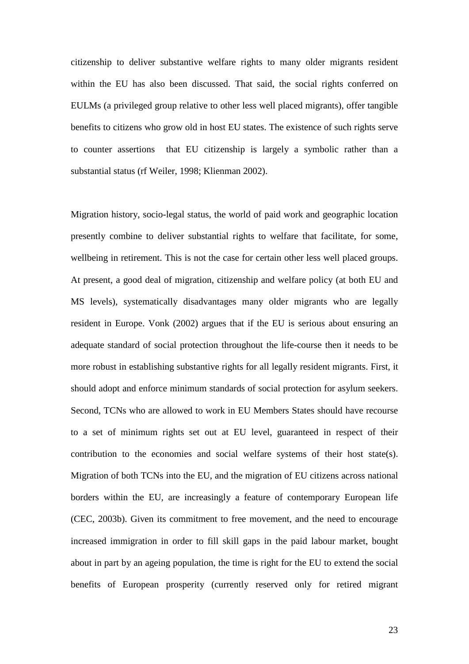citizenship to deliver substantive welfare rights to many older migrants resident within the EU has also been discussed. That said, the social rights conferred on EULMs (a privileged group relative to other less well placed migrants), offer tangible benefits to citizens who grow old in host EU states. The existence of such rights serve to counter assertions that EU citizenship is largely a symbolic rather than a substantial status (rf Weiler, 1998; Klienman 2002).

Migration history, socio-legal status, the world of paid work and geographic location presently combine to deliver substantial rights to welfare that facilitate, for some, wellbeing in retirement. This is not the case for certain other less well placed groups. At present, a good deal of migration, citizenship and welfare policy (at both EU and MS levels), systematically disadvantages many older migrants who are legally resident in Europe. Vonk (2002) argues that if the EU is serious about ensuring an adequate standard of social protection throughout the life-course then it needs to be more robust in establishing substantive rights for all legally resident migrants. First, it should adopt and enforce minimum standards of social protection for asylum seekers. Second, TCNs who are allowed to work in EU Members States should have recourse to a set of minimum rights set out at EU level, guaranteed in respect of their contribution to the economies and social welfare systems of their host state(s). Migration of both TCNs into the EU, and the migration of EU citizens across national borders within the EU, are increasingly a feature of contemporary European life (CEC, 2003b). Given its commitment to free movement, and the need to encourage increased immigration in order to fill skill gaps in the paid labour market, bought about in part by an ageing population, the time is right for the EU to extend the social benefits of European prosperity (currently reserved only for retired migrant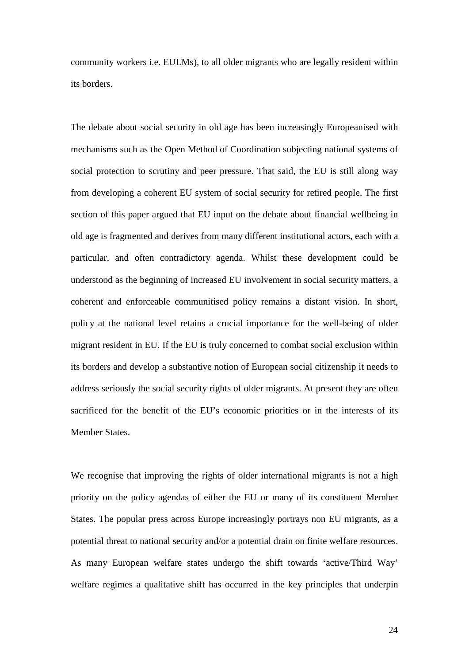community workers i.e. EULMs), to all older migrants who are legally resident within its borders.

The debate about social security in old age has been increasingly Europeanised with mechanisms such as the Open Method of Coordination subjecting national systems of social protection to scrutiny and peer pressure. That said, the EU is still along way from developing a coherent EU system of social security for retired people. The first section of this paper argued that EU input on the debate about financial wellbeing in old age is fragmented and derives from many different institutional actors, each with a particular, and often contradictory agenda. Whilst these development could be understood as the beginning of increased EU involvement in social security matters, a coherent and enforceable communitised policy remains a distant vision. In short, policy at the national level retains a crucial importance for the well-being of older migrant resident in EU. If the EU is truly concerned to combat social exclusion within its borders and develop a substantive notion of European social citizenship it needs to address seriously the social security rights of older migrants. At present they are often sacrificed for the benefit of the EU's economic priorities or in the interests of its Member States.

We recognise that improving the rights of older international migrants is not a high priority on the policy agendas of either the EU or many of its constituent Member States. The popular press across Europe increasingly portrays non EU migrants, as a potential threat to national security and/or a potential drain on finite welfare resources. As many European welfare states undergo the shift towards 'active/Third Way' welfare regimes a qualitative shift has occurred in the key principles that underpin

24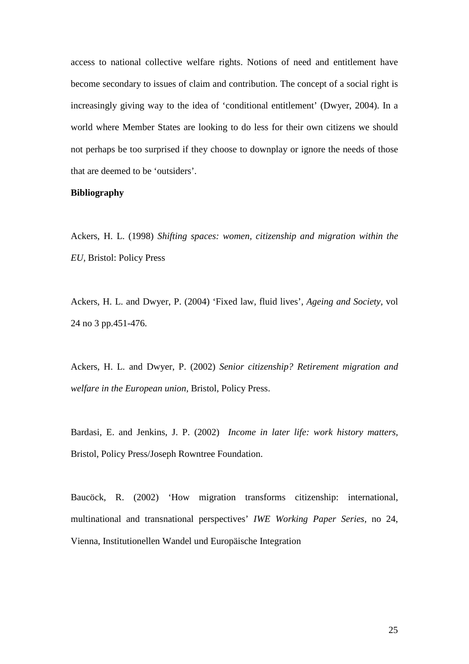access to national collective welfare rights. Notions of need and entitlement have become secondary to issues of claim and contribution. The concept of a social right is increasingly giving way to the idea of 'conditional entitlement' (Dwyer, 2004). In a world where Member States are looking to do less for their own citizens we should not perhaps be too surprised if they choose to downplay or ignore the needs of those that are deemed to be 'outsiders'.

## **Bibliography**

Ackers, H. L. (1998) *Shifting spaces: women, citizenship and migration within the EU,* Bristol: Policy Press

Ackers, H. L. and Dwyer, P. (2004) 'Fixed law, fluid lives', *Ageing and Society,* vol 24 no 3 pp.451-476.

Ackers, H. L. and Dwyer, P. (2002) *Senior citizenship? Retirement migration and welfare in the European union,* Bristol, Policy Press.

Bardasi, E. and Jenkins, J. P. (2002) *Income in later life: work history matters,* Bristol, Policy Press/Joseph Rowntree Foundation.

Baucöck, R. (2002) 'How migration transforms citizenship: international, multinational and transnational perspectives' *IWE Working Paper Series,* no 24, Vienna, Institutionellen Wandel und Europäische Integration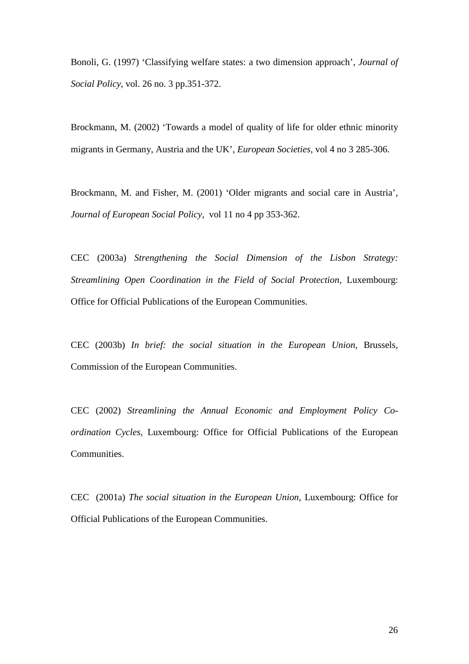Bonoli, G. (1997) 'Classifying welfare states: a two dimension approach', *Journal of Social Policy,* vol. 26 no. 3 pp.351-372.

Brockmann, M. (2002) 'Towards a model of quality of life for older ethnic minority migrants in Germany, Austria and the UK', *European Societies,* vol 4 no 3 285-306.

Brockmann, M. and Fisher, M. (2001) 'Older migrants and social care in Austria', *Journal of European Social Policy,* vol 11 no 4 pp 353-362.

CEC (2003a) *Strengthening the Social Dimension of the Lisbon Strategy: Streamlining Open Coordination in the Field of Social Protection*, Luxembourg: Office for Official Publications of the European Communities.

CEC (2003b) *In brief: the social situation in the European Union,* Brussels, Commission of the European Communities.

CEC (2002) *Streamlining the Annual Economic and Employment Policy Coordination Cycles*, Luxembourg: Office for Official Publications of the European Communities.

CEC (2001a) *The social situation in the European Union,* Luxembourg: Office for Official Publications of the European Communities.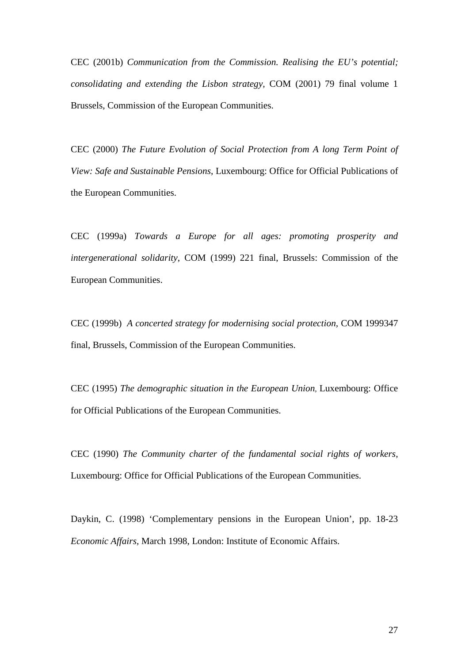CEC (2001b) *Communication from the Commission. Realising the EU's potential; consolidating and extending the Lisbon strategy,* COM (2001) 79 final volume 1 Brussels, Commission of the European Communities.

CEC (2000) *The Future Evolution of Social Protection from A long Term Point of View: Safe and Sustainable Pensions*, Luxembourg: Office for Official Publications of the European Communities.

CEC (1999a) *Towards a Europe for all ages: promoting prosperity and intergenerational solidarity*, COM (1999) 221 final, Brussels: Commission of the European Communities.

CEC (1999b) *A concerted strategy for modernising social protection,* COM 1999347 final, Brussels, Commission of the European Communities.

CEC (1995) *The demographic situation in the European Union,* Luxembourg: Office for Official Publications of the European Communities.

CEC (1990) *The Community charter of the fundamental social rights of workers,*  Luxembourg: Office for Official Publications of the European Communities.

Daykin, C. (1998) 'Complementary pensions in the European Union', pp. 18-23 *Economic Affairs,* March 1998, London: Institute of Economic Affairs.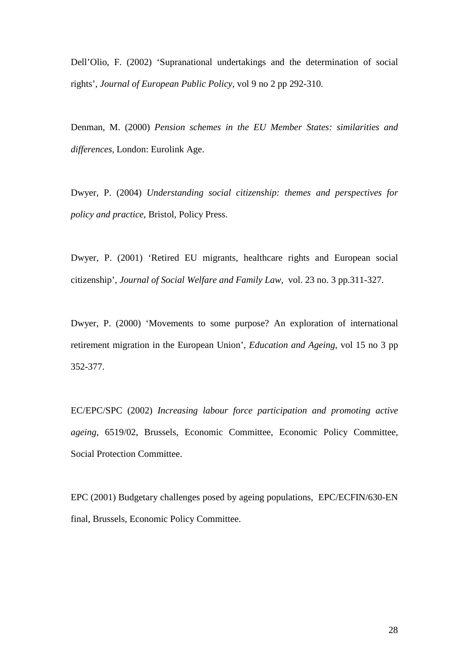Dell'Olio, F. (2002) 'Supranational undertakings and the determination of social rights', *Journal of European Public Policy,* vol 9 no 2 pp 292-310.

Denman, M. (2000) *Pension schemes in the EU Member States: similarities and differences,* London: Eurolink Age.

Dwyer, P. (2004) *Understanding social citizenship: themes and perspectives for policy and practice*, Bristol, Policy Press.

Dwyer, P. (2001) 'Retired EU migrants, healthcare rights and European social citizenship', *Journal of Social Welfare and Family Law,* vol. 23 no. 3 pp.311-327.

Dwyer, P. (2000) 'Movements to some purpose? An exploration of international retirement migration in the European Union', *Education and Ageing,* vol 15 no 3 pp 352-377.

EC/EPC/SPC (2002) *Increasing labour force participation and promoting active ageing,* 6519/02, Brussels, Economic Committee, Economic Policy Committee, Social Protection Committee.

EPC (2001) Budgetary challenges posed by ageing populations, EPC/ECFIN/630-EN final, Brussels, Economic Policy Committee.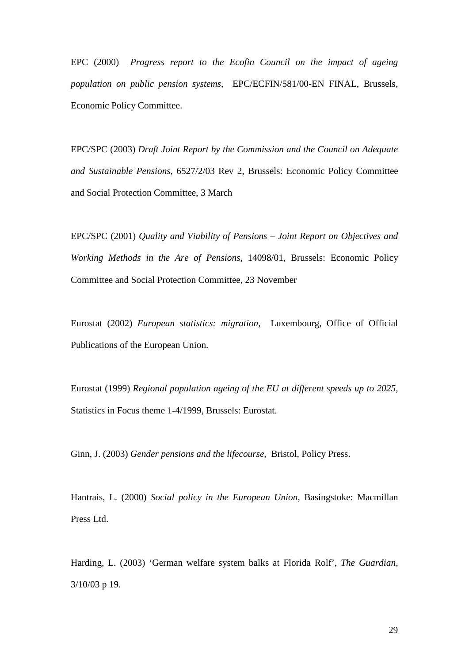EPC (2000) *Progress report to the Ecofin Council on the impact of ageing population on public pension systems*, EPC/ECFIN/581/00-EN FINAL, Brussels, Economic Policy Committee.

EPC/SPC (2003) *Draft Joint Report by the Commission and the Council on Adequate and Sustainable Pensions*, 6527/2/03 Rev 2, Brussels: Economic Policy Committee and Social Protection Committee, 3 March

EPC/SPC (2001) *Quality and Viability of Pensions – Joint Report on Objectives and Working Methods in the Are of Pensions*, 14098/01, Brussels: Economic Policy Committee and Social Protection Committee, 23 November

Eurostat (2002) *European statistics: migration,* Luxembourg, Office of Official Publications of the European Union.

Eurostat (1999) *Regional population ageing of the EU at different speeds up to 2025,* Statistics in Focus theme 1-4/1999, Brussels: Eurostat.

Ginn, J. (2003) *Gender pensions and the lifecourse,* Bristol, Policy Press.

Hantrais, L. (2000) *Social policy in the European Union*, Basingstoke: Macmillan Press Ltd.

Harding, L. (2003) 'German welfare system balks at Florida Rolf', *The Guardian*, 3/10/03 p 19.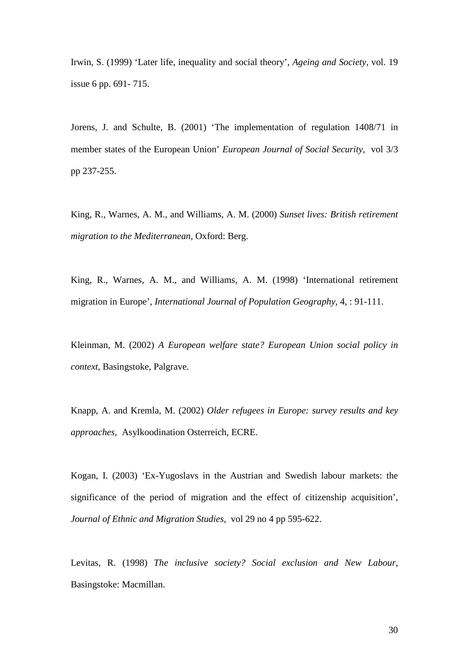Irwin, S. (1999) 'Later life, inequality and social theory', *Ageing and Society*, vol. 19 issue 6 pp. 691- 715.

Jorens, J. and Schulte, B. (2001) 'The implementation of regulation 1408/71 in member states of the European Union' *European Journal of Social Security,* vol 3/3 pp 237-255.

King, R., Warnes, A. M., and Williams, A. M. (2000) *Sunset lives: British retirement migration to the Mediterranean*, Oxford: Berg.

King, R., Warnes, A. M., and Williams, A. M. (1998) 'International retirement migration in Europe', *International Journal of Population Geography,* 4, : 91-111.

Kleinman, M. (2002) *A European welfare state? European Union social policy in context,* Basingstoke, Palgrave.

Knapp, A. and Kremla, M. (2002) *Older refugees in Europe: survey results and key approaches,* Asylkoodination Osterreich, ECRE.

Kogan, I. (2003) 'Ex-Yugoslavs in the Austrian and Swedish labour markets: the significance of the period of migration and the effect of citizenship acquisition', *Journal of Ethnic and Migration Studies,* vol 29 no 4 pp 595-622.

Levitas, R. (1998) *The inclusive society? Social exclusion and New Labour*, Basingstoke: Macmillan.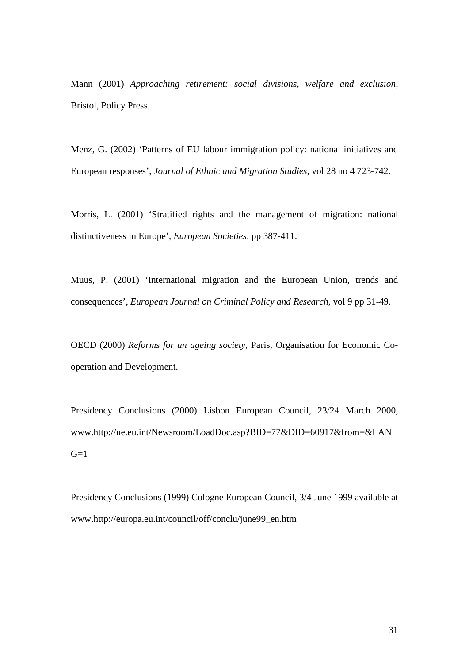Mann (2001) *Approaching retirement: social divisions, welfare and exclusion,*  Bristol, Policy Press.

Menz, G. (2002) 'Patterns of EU labour immigration policy: national initiatives and European responses', *Journal of Ethnic and Migration Studies,* vol 28 no 4 723-742.

Morris, L. (2001) 'Stratified rights and the management of migration: national distinctiveness in Europe', *European Societies,* pp 387-411.

Muus, P. (2001) 'International migration and the European Union, trends and consequences', *European Journal on Criminal Policy and Research,* vol 9 pp 31-49.

OECD (2000) *Reforms for an ageing society,* Paris, Organisation for Economic Cooperation and Development.

Presidency Conclusions (2000) Lisbon European Council, 23/24 March 2000, www.http://ue.eu.int/Newsroom/LoadDoc.asp?BID=77&DID=60917&from=&LAN  $G=1$ 

Presidency Conclusions (1999) Cologne European Council, 3/4 June 1999 available at www.http://europa.eu.int/council/off/conclu/june99\_en.htm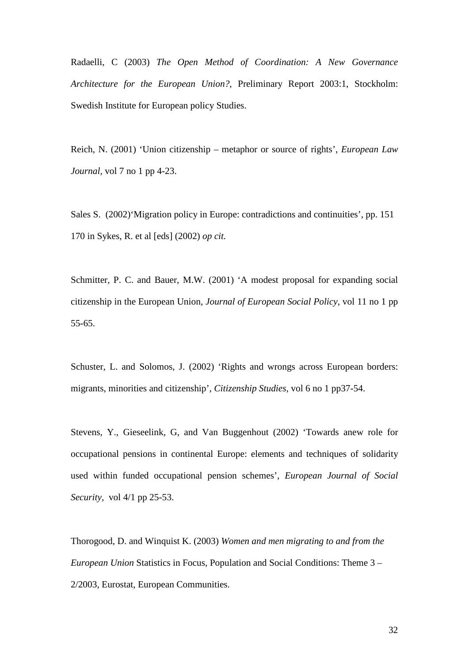Radaelli, C (2003) *The Open Method of Coordination: A New Governance Architecture for the European Union?*, Preliminary Report 2003:1, Stockholm: Swedish Institute for European policy Studies.

Reich, N. (2001) 'Union citizenship – metaphor or source of rights', *European Law Journal,* vol 7 no 1 pp 4-23.

Sales S. (2002)'Migration policy in Europe: contradictions and continuities', pp. 151 170 in Sykes, R. et al [eds] (2002) *op cit.*

Schmitter, P. C. and Bauer, M.W. (2001) 'A modest proposal for expanding social citizenship in the European Union, *Journal of European Social Policy,* vol 11 no 1 pp 55-65.

Schuster, L. and Solomos, J. (2002) 'Rights and wrongs across European borders: migrants, minorities and citizenship', *Citizenship Studies,* vol 6 no 1 pp37-54.

Stevens, Y., Gieseelink, G, and Van Buggenhout (2002) 'Towards anew role for occupational pensions in continental Europe: elements and techniques of solidarity used within funded occupational pension schemes', *European Journal of Social Security,* vol 4/1 pp 25-53.

Thorogood, D. and Winquist K. (2003) *Women and men migrating to and from the European Union* Statistics in Focus*,* Population and Social Conditions: Theme 3 – 2/2003, Eurostat, European Communities.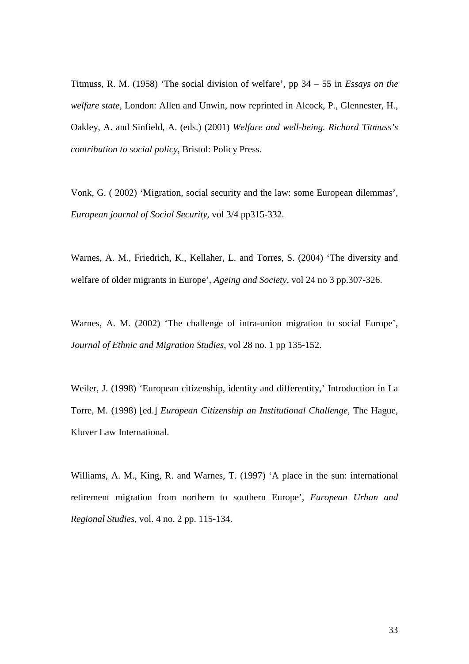Titmuss, R. M. (1958) 'The social division of welfare', pp 34 – 55 in *Essays on the welfare state,* London: Allen and Unwin, now reprinted in Alcock, P., Glennester, H., Oakley, A. and Sinfield, A. (eds.) (2001) *Welfare and well-being. Richard Titmuss's contribution to social policy,* Bristol: Policy Press.

Vonk, G. ( 2002) 'Migration, social security and the law: some European dilemmas', *European journal of Social Security,* vol 3/4 pp315-332.

Warnes, A. M., Friedrich, K., Kellaher, L. and Torres, S. (2004) 'The diversity and welfare of older migrants in Europe'*, Ageing and Society,* vol 24 no 3 pp.307-326.

Warnes, A. M. (2002) 'The challenge of intra-union migration to social Europe', *Journal of Ethnic and Migration Studies*, vol 28 no. 1 pp 135-152.

Weiler, J. (1998) 'European citizenship, identity and differentity,' Introduction in La Torre, M. (1998) [ed.] *European Citizenship an Institutional Challenge,* The Hague, Kluver Law International.

Williams, A. M., King, R. and Warnes, T. (1997) 'A place in the sun: international retirement migration from northern to southern Europe', *European Urban and Regional Studies,* vol. 4 no. 2 pp. 115-134.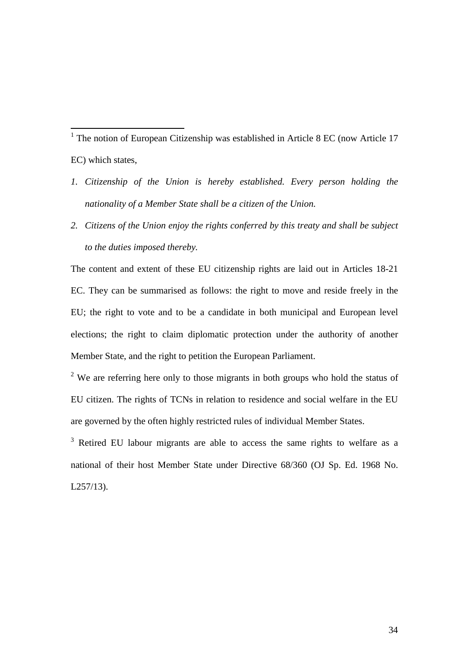<span id="page-34-0"></span><sup>1</sup> The notion of European Citizenship was established in Article 8 EC (now Article 17 EC) which states,

- *1. Citizenship of the Union is hereby established. Every person holding the nationality of a Member State shall be a citizen of the Union.*
- *2. Citizens of the Union enjoy the rights conferred by this treaty and shall be subject to the duties imposed thereby.*

The content and extent of these EU citizenship rights are laid out in Articles 18-21 EC. They can be summarised as follows: the right to move and reside freely in the EU; the right to vote and to be a candidate in both municipal and European level elections; the right to claim diplomatic protection under the authority of another Member State, and the right to petition the European Parliament.

<span id="page-34-1"></span><sup>2</sup> We are referring here only to those migrants in both groups who hold the status of EU citizen. The rights of TCNs in relation to residence and social welfare in the EU are governed by the often highly restricted rules of individual Member States.

<span id="page-34-2"></span><sup>3</sup> Retired EU labour migrants are able to access the same rights to welfare as a national of their host Member State under Directive 68/360 (OJ Sp. Ed. 1968 No. L257/13).